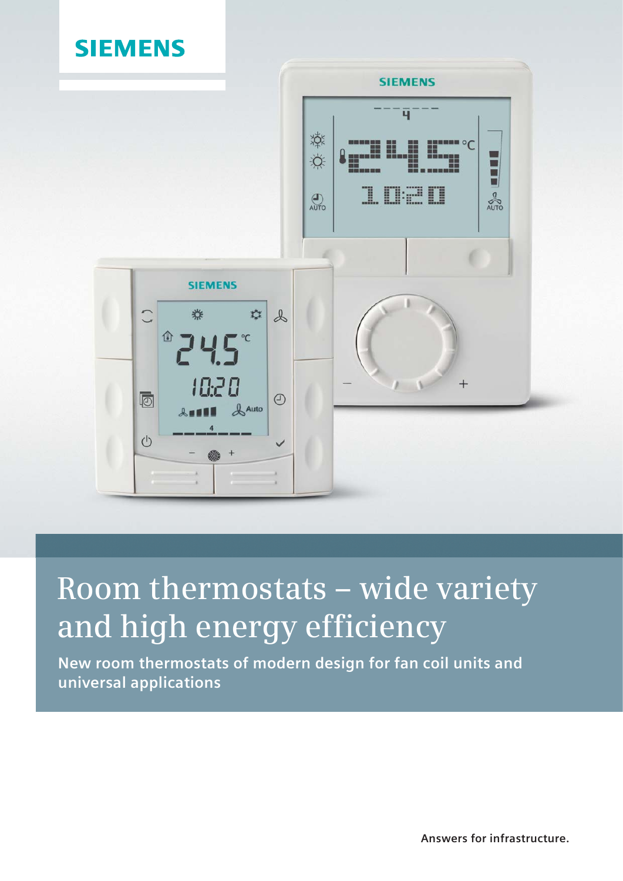

# **Room thermostats – wide variety and high energy efficiency**

**New room thermostats of modern design for fan coil units and universal applications**

**Answers for infrastructure.**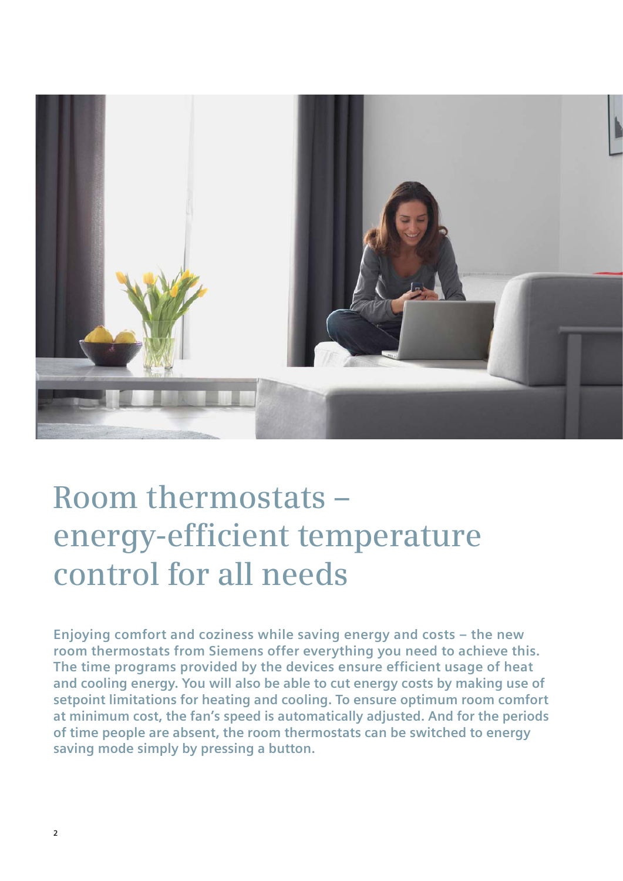

# **Room thermostats – energy-efficient temperature control for all needs**

**Enjoying comfort and coziness while saving energy and costs – the new room thermostats from Siemens offer everything you need to achieve this.** The time programs provided by the devices ensure efficient usage of heat **and cooling energy. You will also be able to cut energy costs by making use of setpoint limitations for heating and cooling. To ensure optimum room comfort at minimum cost, the fan's speed is automatically adjusted. And for the periods of time people are absent, the room thermostats can be switched to energy saving mode simply by pressing a button.**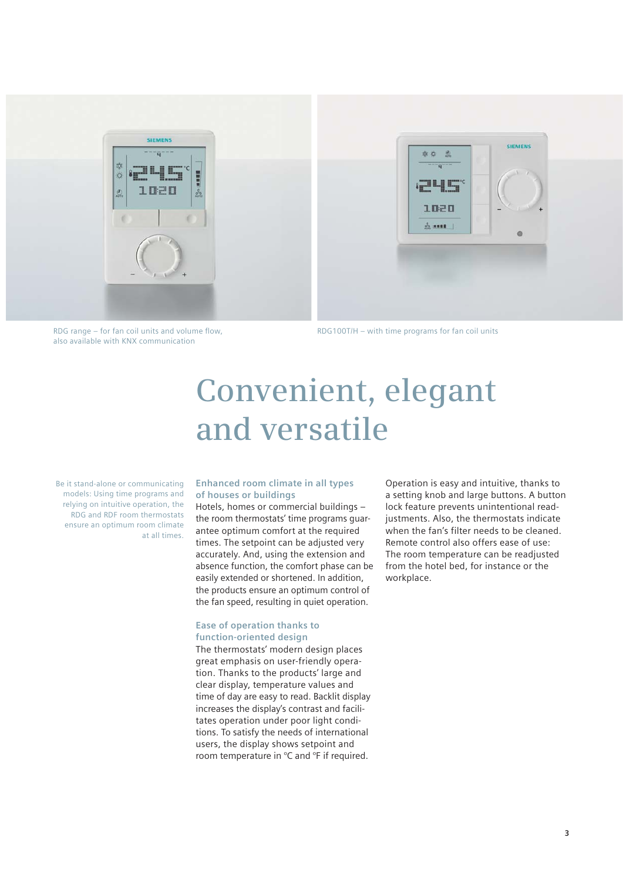

RDG range  $-$  for fan coil units and volume flow, also available with KNX communication

RDG100T/H – with time programs for fan coil units

# **Convenient, elegant and versatile**

Be it stand-alone or communicating models: Using time programs and relying on intuitive operation, the RDG and RDF room thermostats ensure an optimum room climate at all times.

### **Enhanced room climate in all types of houses or buildings**

Hotels, homes or commercial buildings – the room thermostats' time programs guarantee optimum comfort at the required times. The setpoint can be adjusted very accurately. And, using the extension and absence function, the comfort phase can be easily extended or shortened. In addition, the products ensure an optimum control of the fan speed, resulting in quiet operation.

#### **Ease of operation thanks to function-oriented design**

The thermostats' modern design places great emphasis on user-friendly operation. Thanks to the products' large and clear display, temperature values and time of day are easy to read. Backlit display increases the display's contrast and facilitates operation under poor light conditions. To satisfy the needs of international users, the display shows setpoint and room temperature in °C and °F if required.

Operation is easy and intuitive, thanks to a setting knob and large buttons. A button lock feature prevents unintentional readjustments. Also, the thermostats indicate when the fan's filter needs to be cleaned. Remote control also offers ease of use: The room temperature can be readjusted from the hotel bed, for instance or the workplace.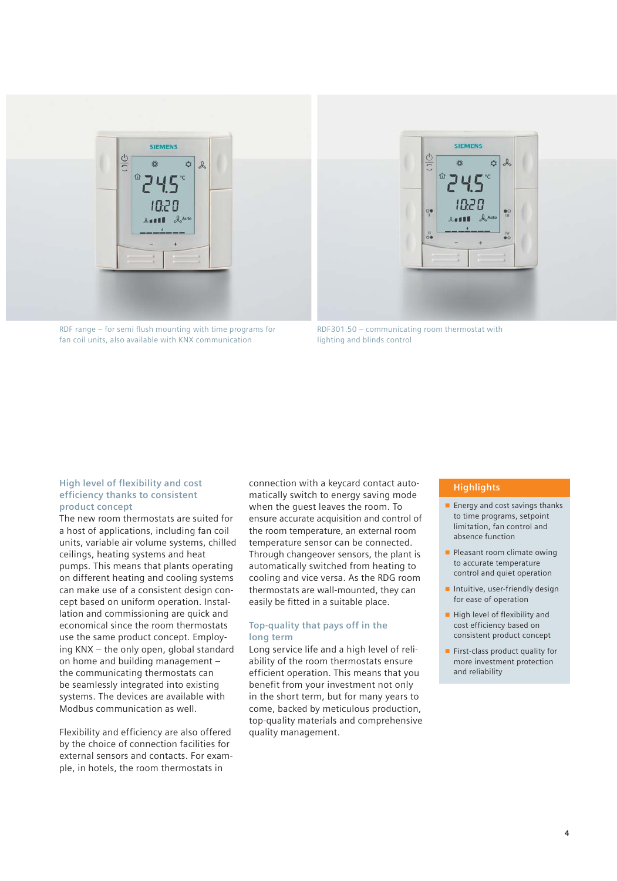



RDF range  $-$  for semi flush mounting with time programs for fan coil units, also available with KNX communication

RDF301.50 – communicating room thermostat with lighting and blinds control

### **High level of flexibility and cost efficiency thanks to consistent product concept**

The new room thermostats are suited for a host of applications, including fan coil units, variable air volume systems, chilled ceilings, heating systems and heat pumps. This means that plants operating on different heating and cooling systems can make use of a consistent design concept based on uniform operation. Installation and commissioning are quick and economical since the room thermostats use the same product concept. Employing KNX – the only open, global standard on home and building management – the communicating thermostats can be seamlessly integrated into existing systems. The devices are available with Modbus communication as well.

Flexibility and efficiency are also offered by the choice of connection facilities for external sensors and contacts. For example, in hotels, the room thermostats in

connection with a keycard contact automatically switch to energy saving mode when the guest leaves the room. To ensure accurate acquisition and control of the room temperature, an external room temperature sensor can be connected. Through changeover sensors, the plant is automatically switched from heating to cooling and vice versa. As the RDG room thermostats are wall-mounted, they can easily be fitted in a suitable place.

### **Top-quality that pays off in the long term**

Long service life and a high level of reliability of the room thermostats ensure efficient operation. This means that you benefit from your investment not only in the short term, but for many years to come, backed by meticulous production, top-quality materials and comprehensive quality management.

# **Highlights**

- Energy and cost savings thanks to time programs, setpoint limitation, fan control and absence function
- Pleasant room climate owing to accurate temperature control and quiet operation
- Intuitive, user-friendly design for ease of operation
- High level of flexibility and cost efficiency based on consistent product concept
- First-class product quality for more investment protection and reliability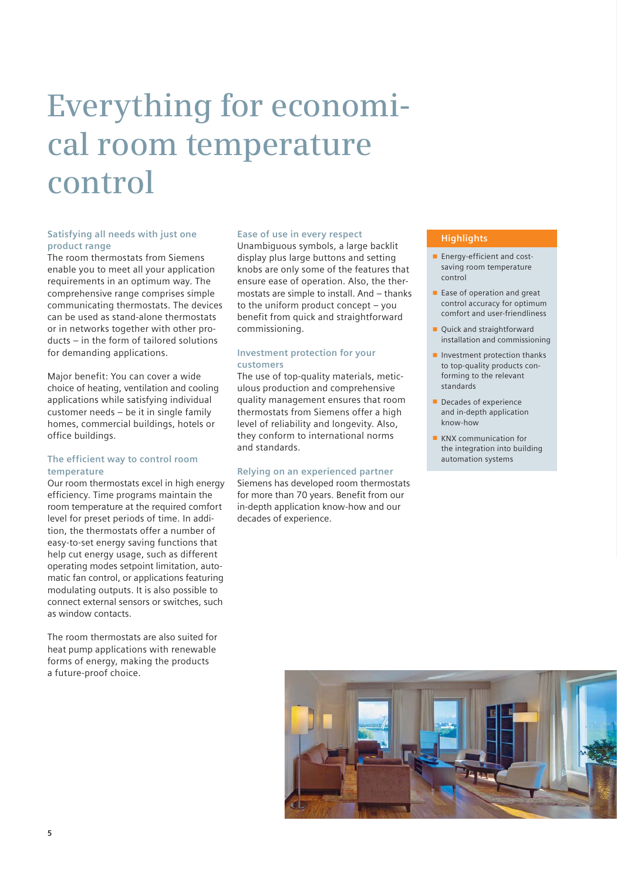# **Everything for economical room temperature control**

# **Satisfying all needs with just one product range**

The room thermostats from Siemens enable you to meet all your application requirements in an optimum way. The comprehensive range comprises simple communicating thermostats. The devices can be used as stand-alone thermostats or in networks together with other products – in the form of tailored solutions for demanding applications.

Major benefit: You can cover a wide choice of heating, ventilation and cooling applications while satisfying individual customer needs – be it in single family homes, commercial buildings, hotels or office buildings.

# **The efficient way to control room temperature**

Our room thermostats excel in high energy efficiency. Time programs maintain the room temperature at the required comfort level for preset periods of time. In addition, the thermostats offer a number of easy-to-set energy saving functions that help cut energy usage, such as different operating modes setpoint limitation, automatic fan control, or applications featuring modulating outputs. It is also possible to connect external sensors or switches, such as window contacts.

The room thermostats are also suited for heat pump applications with renewable forms of energy, making the products a future-proof choice.

### **Ease of use in every respect**

Unambiguous symbols, a large backlit display plus large buttons and setting knobs are only some of the features that ensure ease of operation. Also, the thermostats are simple to install. And – thanks to the uniform product concept – you benefit from quick and straightforward commissioning.

# **Investment protection for your customers**

The use of top-quality materials, meticulous production and comprehensive quality management ensures that room thermostats from Siemens offer a high level of reliability and longevity. Also, they conform to international norms and standards.

# **Relying on an experienced partner**

Siemens has developed room thermostats for more than 70 years. Benefit from our in-depth application know-how and our decades of experience.

### **Highlights**

- Energy-efficient and costsaving room temperature control
- Ease of operation and great control accuracy for optimum comfort and user-friendliness
- Quick and straightforward installation and commissioning
- Investment protection thanks to top-quality products conforming to the relevant standards
- Decades of experience and in-depth application know-how
- KNX communication for the integration into building automation systems